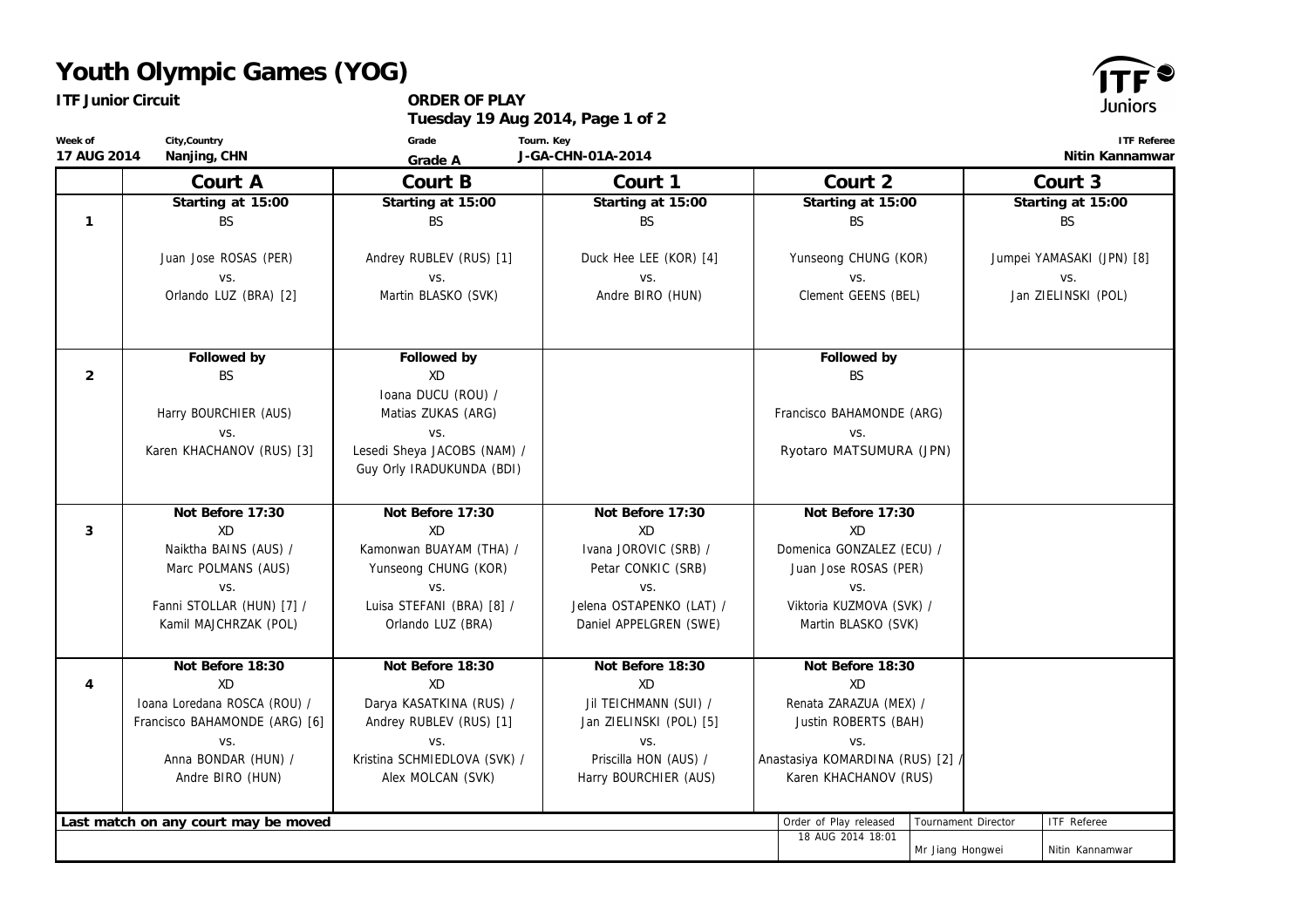## **Youth Olympic Games (YOG)**

٢S

| <b>ITF Junior Circuit</b>                               |                                             | ORDER OF PLAY<br>Tuesday 19 Aug 2014, Page 1 of 2        |                                             |                                                    | Juniors                            |  |
|---------------------------------------------------------|---------------------------------------------|----------------------------------------------------------|---------------------------------------------|----------------------------------------------------|------------------------------------|--|
| City, Country<br>Week of<br>17 AUG 2014<br>Nanjing, CHN |                                             | Grade<br>Grade A                                         | Tourn. Key<br>J-GA-CHN-01A-2014             | <b>ITF Referee</b><br>Nitin Kannamwar              |                                    |  |
|                                                         | Court A                                     | Court B                                                  | Court 1                                     | Court 2                                            | Court 3                            |  |
|                                                         | Starting at 15:00                           | Starting at 15:00                                        | Starting at 15:00                           | Starting at 15:00                                  | Starting at 15:00                  |  |
| $\mathbf{1}$                                            | BS                                          | BS.                                                      | BS.                                         | <b>BS</b>                                          | <b>BS</b>                          |  |
|                                                         | Juan Jose ROSAS (PER)<br>VS.                | Andrey RUBLEV (RUS) [1]<br>VS.                           | Duck Hee LEE (KOR) [4]<br>VS.               | Yunseong CHUNG (KOR)<br>VS.                        | Jumpei YAMASAKI (JPN) [8]<br>VS.   |  |
|                                                         | Orlando LUZ (BRA) [2]                       | Martin BLASKO (SVK)                                      | Andre BIRO (HUN)                            | Clement GEENS (BEL)                                | Jan ZIELINSKI (POL)                |  |
| $\overline{2}$                                          | Followed by<br><b>BS</b>                    | Followed by<br>XD                                        |                                             | Followed by<br><b>BS</b>                           |                                    |  |
|                                                         | Harry BOURCHIER (AUS)<br>VS.                | Ioana DUCU (ROU) /<br>Matias ZUKAS (ARG)<br>VS.          |                                             | Francisco BAHAMONDE (ARG)<br>VS.                   |                                    |  |
|                                                         | Karen KHACHANOV (RUS) [3]                   | Lesedi Sheya JACOBS (NAM) /<br>Guy Orly IRADUKUNDA (BDI) |                                             | Ryotaro MATSUMURA (JPN)                            |                                    |  |
|                                                         | Not Before 17:30                            | Not Before 17:30                                         | Not Before 17:30                            | Not Before 17:30                                   |                                    |  |
| 3                                                       | XD                                          | XD                                                       | XD                                          | XD                                                 |                                    |  |
|                                                         | Naiktha BAINS (AUS) /<br>Marc POLMANS (AUS) | Kamonwan BUAYAM (THA) /<br>Yunseong CHUNG (KOR)          | Ivana JOROVIC (SRB) /<br>Petar CONKIC (SRB) | Domenica GONZALEZ (ECU) /<br>Juan Jose ROSAS (PER) |                                    |  |
|                                                         | VS.                                         | VS.                                                      | VS.                                         | VS.                                                |                                    |  |
|                                                         | Fanni STOLLAR (HUN) [7] /                   | Luisa STEFANI (BRA) [8] /                                | Jelena OSTAPENKO (LAT) /                    | Viktoria KUZMOVA (SVK) /                           |                                    |  |
|                                                         | Kamil MAJCHRZAK (POL)                       | Orlando LUZ (BRA)                                        | Daniel APPELGREN (SWE)                      | Martin BLASKO (SVK)                                |                                    |  |
|                                                         | Not Before 18:30                            | Not Before 18:30                                         | Not Before 18:30                            | Not Before 18:30                                   |                                    |  |
| $\overline{4}$                                          | XD                                          | XD                                                       | XD                                          | XD                                                 |                                    |  |
|                                                         | Ioana Loredana ROSCA (ROU) /                | Darya KASATKINA (RUS) /                                  | Jil TEICHMANN (SUI) /                       | Renata ZARAZUA (MEX) /                             |                                    |  |
|                                                         | Francisco BAHAMONDE (ARG) [6]               | Andrey RUBLEV (RUS) [1]                                  | Jan ZIELINSKI (POL) [5]                     | Justin ROBERTS (BAH)                               |                                    |  |
|                                                         | VS.<br>Anna BONDAR (HUN) /                  | VS.<br>Kristina SCHMIEDLOVA (SVK) /                      | VS.<br>Priscilla HON (AUS) /                | VS.<br>Anastasiya KOMARDINA (RUS) [2].             |                                    |  |
|                                                         | Andre BIRO (HUN)                            | Alex MOLCAN (SVK)                                        | Harry BOURCHIER (AUS)                       | Karen KHACHANOV (RUS)                              |                                    |  |
|                                                         |                                             |                                                          |                                             |                                                    |                                    |  |
|                                                         | Last match on any court may be moved        |                                                          |                                             | Order of Play released                             | Tournament Director<br>ITF Referee |  |

18 AUG 2014 18:01

Mr Jiang Hongwei | Nitin Kannamwar